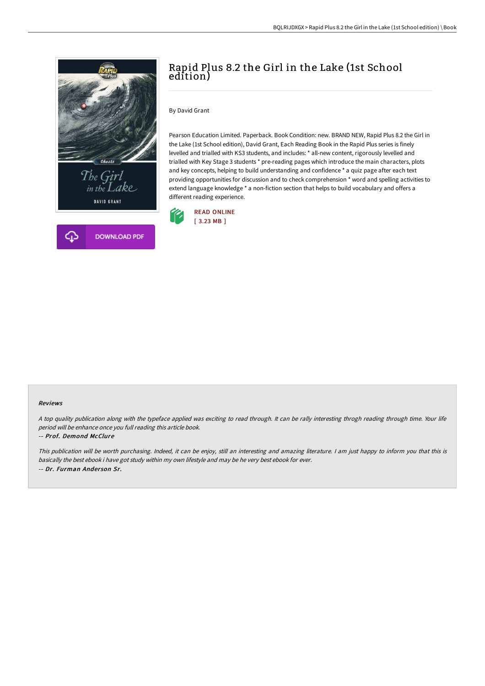

# Rapid Plus 8.2 the Girl in the Lake (1st School edition)

## By David Grant

Pearson Education Limited. Paperback. Book Condition: new. BRAND NEW, Rapid Plus 8.2 the Girl in the Lake (1st School edition), David Grant, Each Reading Book in the Rapid Plus series is finely levelled and trialled with KS3 students, and includes: \* all-new content, rigorously levelled and trialled with Key Stage 3 students \* pre-reading pages which introduce the main characters, plots and key concepts, helping to build understanding and confidence \* a quiz page after each text providing opportunities for discussion and to check comprehension \* word and spelling activities to extend language knowledge \* a non-fiction section that helps to build vocabulary and offers a different reading experience.



#### Reviews

<sup>A</sup> top quality publication along with the typeface applied was exciting to read through. It can be rally interesting throgh reading through time. Your life period will be enhance once you full reading this article book.

#### -- Prof. Demond McClure

This publication will be worth purchasing. Indeed, it can be enjoy, still an interesting and amazing literature. <sup>I</sup> am just happy to inform you that this is basically the best ebook i have got study within my own lifestyle and may be he very best ebook for ever. -- Dr. Furman Ander son Sr.